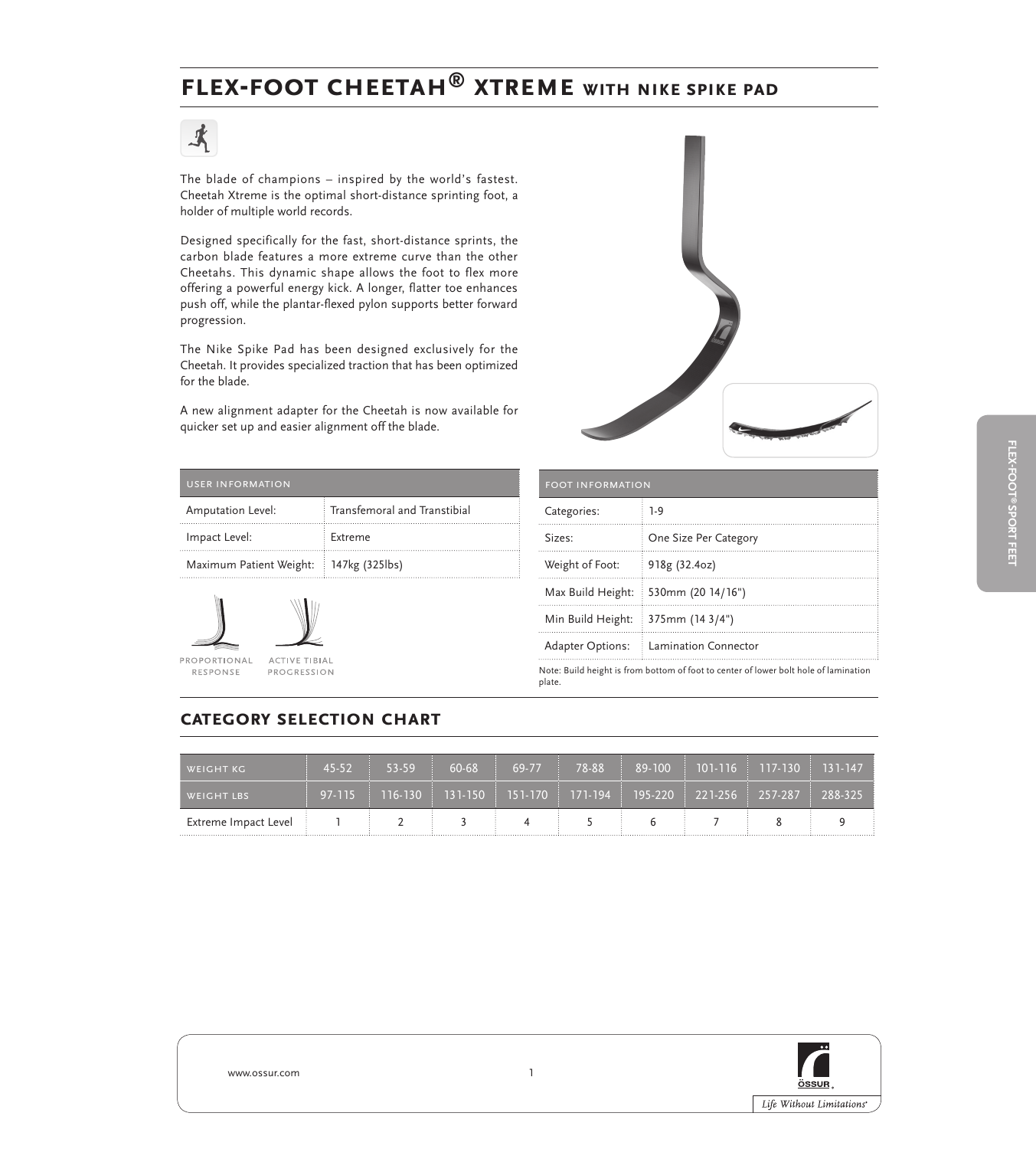## **Flex-foot cheetah® xtreme with Nike Spike Pad**

# 式

The blade of champions – inspired by the world's fastest. Cheetah Xtreme is the optimal short-distance sprinting foot, a holder of multiple world records.

Designed specifically for the fast, short-distance sprints, the carbon blade features a more extreme curve than the other Cheetahs. This dynamic shape allows the foot to flex more offering a powerful energy kick. A longer, flatter toe enhances push off, while the plantar-flexed pylon supports better forward progression.

The Nike Spike Pad has been designed exclusively for the Cheetah. It provides specialized traction that has been optimized for the blade.

A new alignment adapter for the Cheetah is now available for quicker set up and easier alignment off the blade.



| <b>USER INFORMATION</b>                |                              |
|----------------------------------------|------------------------------|
| Amputation Level:                      | Transfemoral and Transtibial |
| Impact Level:                          | Extreme                      |
| Maximum Patient Weight: 147kg (325lbs) |                              |



| ī          |                      |
|------------|----------------------|
| <b>VAL</b> | <b>ACTIVE TIBIAL</b> |
|            | DDQCDFCCIQNI         |

| <b>FOOT INFORMATION</b> |                                                                                      |  |
|-------------------------|--------------------------------------------------------------------------------------|--|
| Categories:             | $1-9$                                                                                |  |
| Sizes:                  | One Size Per Category                                                                |  |
| Weight of Foot:         | 918g (32.4oz)                                                                        |  |
| Max Build Height:       | 530mm (20 14/16")                                                                    |  |
| Min Build Height:       | $375$ mm (14 3/4")                                                                   |  |
| <b>Adapter Options:</b> | Lamination Connector                                                                 |  |
| plate.                  | Note: Build height is from bottom of foot to center of lower bolt hole of lamination |  |

## **category selection chart**

| WEIGHT KG            | $45-52$ | $53 - 59$                                                                                | 60-68 | 69-77 | 78-88 |  | 89-100   101-116   117-130   131-147 |  |
|----------------------|---------|------------------------------------------------------------------------------------------|-------|-------|-------|--|--------------------------------------|--|
| <b>WEIGHT LBS</b>    |         | $97-115$   116-130   131-150   151-170   171-194   195-220   221-256   257-287   288-325 |       |       |       |  |                                      |  |
| Extreme Impact Level |         |                                                                                          |       |       |       |  |                                      |  |



www.ossur.com 1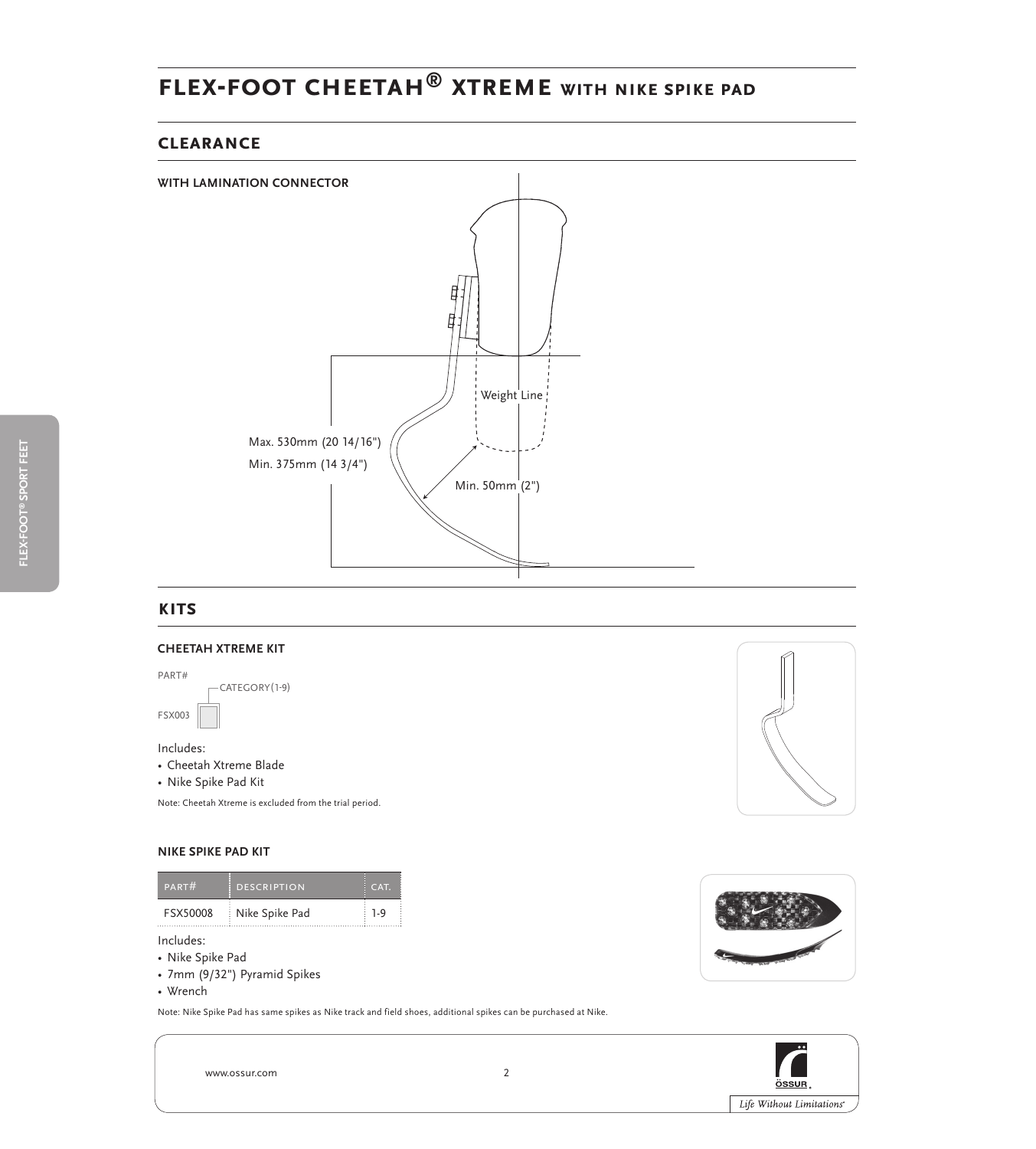## **Flex-foot cheetah® xtreme with Nike Spike Pad**

## **clearance**



### **kits**

#### **cheetah XTreme kit**

Includes: • Cheetah Xtreme Blade FSX003 part# CATEGORY(1-9)

• Nike Spike Pad Kit

Note: Cheetah Xtreme is excluded from the trial period.

#### **Nike Spike Pad Kit**

| <b>PART#</b> | <b>DESCRIPTION</b> | CAT            |
|--------------|--------------------|----------------|
| FSX50008     | Nike Spike Pad     | $\overline{a}$ |

Includes:

- • Nike Spike Pad
- • 7mm (9/32") Pyramid Spikes
- • Wrench

Note: Nike Spike Pad has same spikes as Nike track and field shoes, additional spikes can be purchased at Nike.